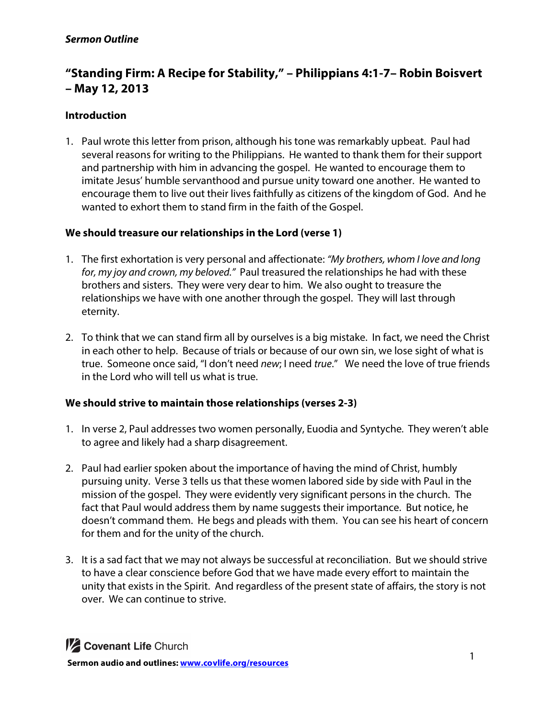# **"Standing Firm: A Recipe for Stability," – Philippians 4:1-7– Robin Boisvert – May 12, 2013**

# **Introduction**

1. Paul wrote this letter from prison, although his tone was remarkably upbeat. Paul had several reasons for writing to the Philippians. He wanted to thank them for their support and partnership with him in advancing the gospel. He wanted to encourage them to imitate Jesus' humble servanthood and pursue unity toward one another. He wanted to encourage them to live out their lives faithfully as citizens of the kingdom of God. And he wanted to exhort them to stand firm in the faith of the Gospel.

# **We should treasure our relationships in the Lord (verse 1)**

- 1. The first exhortation is very personal and affectionate: *"My brothers, whom I love and long for, my joy and crown, my beloved."* Paul treasured the relationships he had with these brothers and sisters. They were very dear to him. We also ought to treasure the relationships we have with one another through the gospel. They will last through eternity.
- 2. To think that we can stand firm all by ourselves is a big mistake. In fact, we need the Christ in each other to help. Because of trials or because of our own sin, we lose sight of what is true. Someone once said, "I don't need *new*; I need *true*." We need the love of true friends in the Lord who will tell us what is true.

# **We should strive to maintain those relationships (verses 2-3)**

- 1. In verse 2, Paul addresses two women personally, Euodia and Syntyche*.* They weren't able to agree and likely had a sharp disagreement.
- 2. Paul had earlier spoken about the importance of having the mind of Christ, humbly pursuing unity. Verse 3 tells us that these women labored side by side with Paul in the mission of the gospel. They were evidently very significant persons in the church. The fact that Paul would address them by name suggests their importance. But notice, he doesn't command them. He begs and pleads with them. You can see his heart of concern for them and for the unity of the church.
- 3. It is a sad fact that we may not always be successful at reconciliation. But we should strive to have a clear conscience before God that we have made every effort to maintain the unity that exists in the Spirit. And regardless of the present state of affairs, the story is not over. We can continue to strive.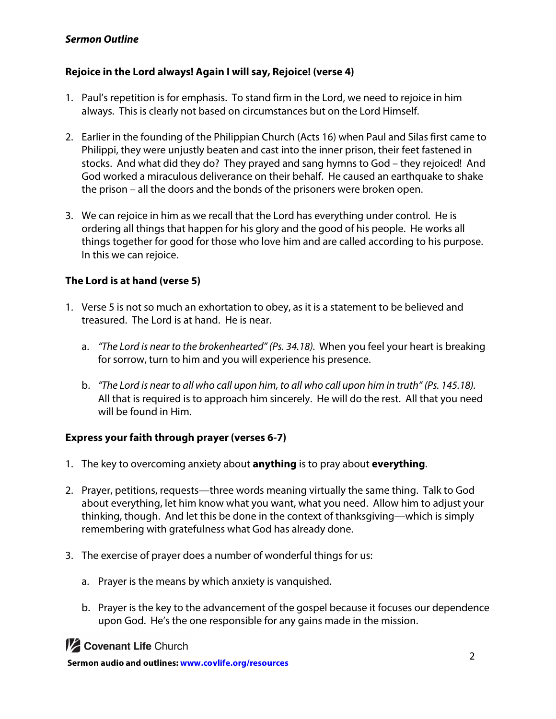# *Sermon Outline*

#### **Rejoice in the Lord always! Again I will say, Rejoice! (verse 4)**

- 1. Paul's repetition is for emphasis. To stand firm in the Lord, we need to rejoice in him always. This is clearly not based on circumstances but on the Lord Himself.
- 2. Earlier in the founding of the Philippian Church (Acts 16) when Paul and Silas first came to Philippi, they were unjustly beaten and cast into the inner prison, their feet fastened in stocks. And what did they do? They prayed and sang hymns to God – they rejoiced! And God worked a miraculous deliverance on their behalf. He caused an earthquake to shake the prison – all the doors and the bonds of the prisoners were broken open.
- 3. We can rejoice in him as we recall that the Lord has everything under control. He is ordering all things that happen for his glory and the good of his people. He works all things together for good for those who love him and are called according to his purpose. In this we can rejoice.

#### **The Lord is at hand (verse 5)**

- 1. Verse 5 is not so much an exhortation to obey, as it is a statement to be believed and treasured. The Lord is at hand. He is near.
	- a. *"The Lord is near to the brokenhearted" (Ps. 34.18).* When you feel your heart is breaking for sorrow, turn to him and you will experience his presence.
	- b. *"The Lord is near to all who call upon him, to all who call upon him in truth" (Ps. 145.18).*  All that is required is to approach him sincerely. He will do the rest. All that you need will be found in Him.

#### **Express your faith through prayer (verses 6-7)**

- 1. The key to overcoming anxiety about **anything** is to pray about **everything**.
- 2. Prayer, petitions, requests—three words meaning virtually the same thing. Talk to God about everything, let him know what you want, what you need. Allow him to adjust your thinking, though. And let this be done in the context of thanksgiving—which is simply remembering with gratefulness what God has already done.
- 3. The exercise of prayer does a number of wonderful things for us:
	- a. Prayer is the means by which anxiety is vanquished.
	- b. Prayer is the key to the advancement of the gospel because it focuses our dependence upon God. He's the one responsible for any gains made in the mission.



**1/2 Covenant Life Church**<br> **1** Sermon audio and outlines: www.covlife.org/resources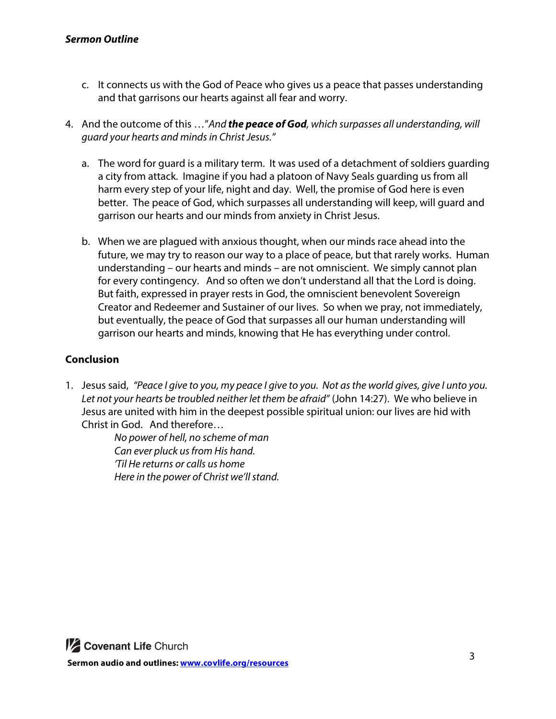- c. It connects us with the God of Peace who gives us a peace that passes understanding and that garrisons our hearts against all fear and worry.
- 4. And the outcome of this …"*And the peace of God, which surpasses all understanding, will guard your hearts and minds in Christ Jesus."*
	- a. The word for guard is a military term. It was used of a detachment of soldiers guarding a city from attack. Imagine if you had a platoon of Navy Seals guarding us from all harm every step of your life, night and day. Well, the promise of God here is even better. The peace of God, which surpasses all understanding will keep, will guard and garrison our hearts and our minds from anxiety in Christ Jesus.
	- b. When we are plagued with anxious thought, when our minds race ahead into the future, we may try to reason our way to a place of peace, but that rarely works. Human understanding – our hearts and minds – are not omniscient. We simply cannot plan for every contingency. And so often we don't understand all that the Lord is doing. But faith, expressed in prayer rests in God, the omniscient benevolent Sovereign Creator and Redeemer and Sustainer of our lives. So when we pray, not immediately, but eventually, the peace of God that surpasses all our human understanding will garrison our hearts and minds, knowing that He has everything under control.

# **Conclusion**

1. Jesus said, *"Peace I give to you, my peace I give to you. Not as the world gives, give I unto you. Let not your hearts be troubled neither let them be afraid"* (John 14:27). We who believe in Jesus are united with him in the deepest possible spiritual union: our lives are hid with Christ in God. And therefore…

*No power of hell, no scheme of man Can ever pluck us from His hand. 'Til He returns or calls us home Here in the power of Christ we'll stand.*